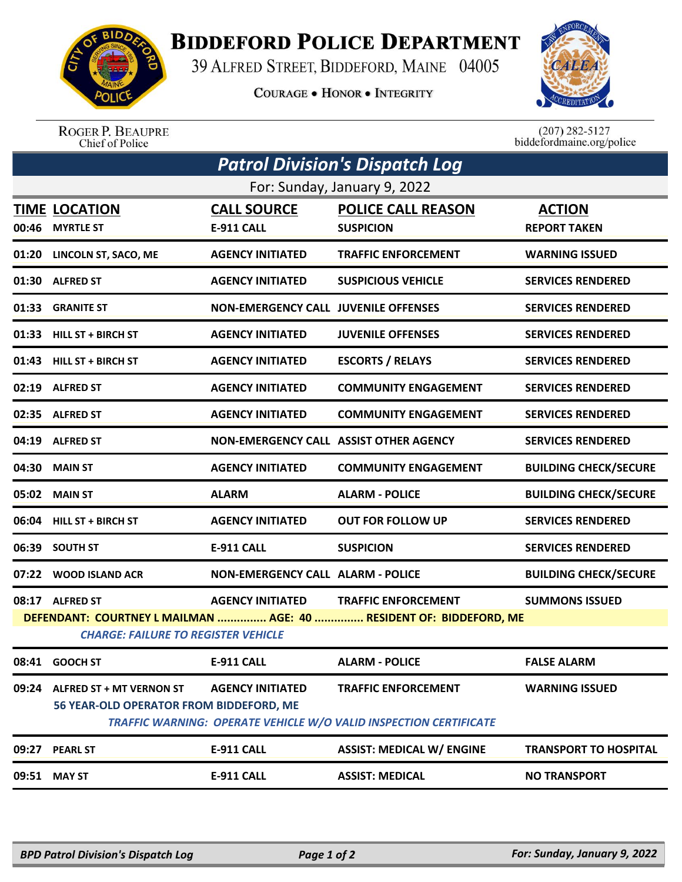

## **BIDDEFORD POLICE DEPARTMENT**

39 ALFRED STREET, BIDDEFORD, MAINE 04005

**COURAGE . HONOR . INTEGRITY** 



ROGER P. BEAUPRE<br>Chief of Police

 $(207)$  282-5127<br>biddefordmaine.org/police

| <b>Patrol Division's Dispatch Log</b>                                                                            |                                                                            |                                             |                                                                                                        |                                      |  |  |  |  |
|------------------------------------------------------------------------------------------------------------------|----------------------------------------------------------------------------|---------------------------------------------|--------------------------------------------------------------------------------------------------------|--------------------------------------|--|--|--|--|
| For: Sunday, January 9, 2022                                                                                     |                                                                            |                                             |                                                                                                        |                                      |  |  |  |  |
| 00:46                                                                                                            | <b>TIME LOCATION</b><br><b>MYRTLE ST</b>                                   | <b>CALL SOURCE</b><br><b>E-911 CALL</b>     | <b>POLICE CALL REASON</b><br><b>SUSPICION</b>                                                          | <b>ACTION</b><br><b>REPORT TAKEN</b> |  |  |  |  |
| 01:20                                                                                                            | LINCOLN ST, SACO, ME                                                       | <b>AGENCY INITIATED</b>                     | <b>TRAFFIC ENFORCEMENT</b>                                                                             | <b>WARNING ISSUED</b>                |  |  |  |  |
|                                                                                                                  | 01:30 ALFRED ST                                                            | <b>AGENCY INITIATED</b>                     | <b>SUSPICIOUS VEHICLE</b>                                                                              | <b>SERVICES RENDERED</b>             |  |  |  |  |
|                                                                                                                  | 01:33 GRANITE ST                                                           | <b>NON-EMERGENCY CALL JUVENILE OFFENSES</b> |                                                                                                        | <b>SERVICES RENDERED</b>             |  |  |  |  |
|                                                                                                                  | 01:33 HILL ST + BIRCH ST                                                   | <b>AGENCY INITIATED</b>                     | <b>JUVENILE OFFENSES</b>                                                                               | <b>SERVICES RENDERED</b>             |  |  |  |  |
|                                                                                                                  | 01:43 HILL ST + BIRCH ST                                                   | <b>AGENCY INITIATED</b>                     | <b>ESCORTS / RELAYS</b>                                                                                | <b>SERVICES RENDERED</b>             |  |  |  |  |
|                                                                                                                  | 02:19 ALFRED ST                                                            | <b>AGENCY INITIATED</b>                     | <b>COMMUNITY ENGAGEMENT</b>                                                                            | <b>SERVICES RENDERED</b>             |  |  |  |  |
|                                                                                                                  | 02:35 ALFRED ST                                                            | <b>AGENCY INITIATED</b>                     | <b>COMMUNITY ENGAGEMENT</b>                                                                            | <b>SERVICES RENDERED</b>             |  |  |  |  |
|                                                                                                                  | 04:19 ALFRED ST                                                            |                                             | NON-EMERGENCY CALL ASSIST OTHER AGENCY                                                                 | <b>SERVICES RENDERED</b>             |  |  |  |  |
| 04:30                                                                                                            | <b>MAIN ST</b>                                                             | <b>AGENCY INITIATED</b>                     | <b>COMMUNITY ENGAGEMENT</b>                                                                            | <b>BUILDING CHECK/SECURE</b>         |  |  |  |  |
|                                                                                                                  | 05:02 MAIN ST                                                              | <b>ALARM</b>                                | <b>ALARM - POLICE</b>                                                                                  | <b>BUILDING CHECK/SECURE</b>         |  |  |  |  |
| 06:04                                                                                                            | <b>HILL ST + BIRCH ST</b>                                                  | <b>AGENCY INITIATED</b>                     | <b>OUT FOR FOLLOW UP</b>                                                                               | <b>SERVICES RENDERED</b>             |  |  |  |  |
| 06:39                                                                                                            | <b>SOUTH ST</b>                                                            | E-911 CALL                                  | <b>SUSPICION</b>                                                                                       | <b>SERVICES RENDERED</b>             |  |  |  |  |
|                                                                                                                  | 07:22 WOOD ISLAND ACR                                                      | <b>NON-EMERGENCY CALL ALARM - POLICE</b>    |                                                                                                        | <b>BUILDING CHECK/SECURE</b>         |  |  |  |  |
|                                                                                                                  | 08:17 ALFRED ST                                                            | <b>AGENCY INITIATED</b>                     | <b>TRAFFIC ENFORCEMENT</b>                                                                             | <b>SUMMONS ISSUED</b>                |  |  |  |  |
| DEFENDANT: COURTNEY L MAILMAN  AGE: 40  RESIDENT OF: BIDDEFORD, ME<br><b>CHARGE: FAILURE TO REGISTER VEHICLE</b> |                                                                            |                                             |                                                                                                        |                                      |  |  |  |  |
| 08:41                                                                                                            | <b>GOOCH ST</b>                                                            | E-911 CALL                                  | <b>ALARM - POLICE</b>                                                                                  | <b>FALSE ALARM</b>                   |  |  |  |  |
| 09:24                                                                                                            | <b>ALFRED ST + MT VERNON ST</b><br>56 YEAR-OLD OPERATOR FROM BIDDEFORD, ME | <b>AGENCY INITIATED</b>                     | <b>TRAFFIC ENFORCEMENT</b><br><b>TRAFFIC WARNING: OPERATE VEHICLE W/O VALID INSPECTION CERTIFICATE</b> | <b>WARNING ISSUED</b>                |  |  |  |  |
| 09:27                                                                                                            | <b>PEARL ST</b>                                                            | <b>E-911 CALL</b>                           | <b>ASSIST: MEDICAL W/ ENGINE</b>                                                                       | <b>TRANSPORT TO HOSPITAL</b>         |  |  |  |  |
| 09:51                                                                                                            | <b>MAY ST</b>                                                              | <b>E-911 CALL</b>                           | <b>ASSIST: MEDICAL</b>                                                                                 | <b>NO TRANSPORT</b>                  |  |  |  |  |